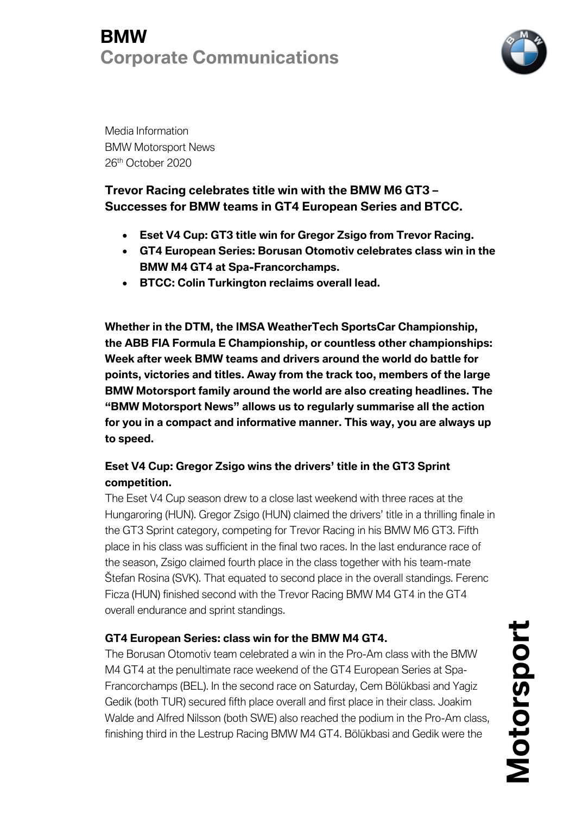## **BMW Corporate Communications**



Media Information BMW Motorsport News 26th October 2020

### **Trevor Racing celebrates title win with the BMW M6 GT3 – Successes for BMW teams in GT4 European Series and BTCC.**

- **Eset V4 Cup: GT3 title win for Gregor Zsigo from Trevor Racing.**
- **GT4 European Series: Borusan Otomotiv celebrates class win in the BMW M4 GT4 at Spa-Francorchamps.**
- **BTCC: Colin Turkington reclaims overall lead.**

**Whether in the DTM, the IMSA WeatherTech SportsCar Championship, the ABB FIA Formula E Championship, or countless other championships: Week after week BMW teams and drivers around the world do battle for points, victories and titles. Away from the track too, members of the large BMW Motorsport family around the world are also creating headlines. The "BMW Motorsport News" allows us to regularly summarise all the action for you in a compact and informative manner. This way, you are always up to speed.** 

## **Eset V4 Cup: Gregor Zsigo wins the drivers' title in the GT3 Sprint competition.**

The Eset V4 Cup season drew to a close last weekend with three races at the Hungaroring (HUN). Gregor Zsigo (HUN) claimed the drivers' title in a thrilling finale in the GT3 Sprint category, competing for Trevor Racing in his BMW M6 GT3. Fifth place in his class was sufficient in the final two races. In the last endurance race of the season, Zsigo claimed fourth place in the class together with his team-mate Štefan Rosina (SVK). That equated to second place in the overall standings. Ferenc Ficza (HUN) finished second with the Trevor Racing BMW M4 GT4 in the GT4 overall endurance and sprint standings.

## **GT4 European Series: class win for the BMW M4 GT4.**

The Borusan Otomotiv team celebrated a win in the Pro-Am class with the BMW M4 GT4 at the penultimate race weekend of the GT4 European Series at Spa-Francorchamps (BEL). In the second race on Saturday, Cem Bölükbasi and Yagiz Gedik (both TUR) secured fifth place overall and first place in their class. Joakim Walde and Alfred Nilsson (both SWE) also reached the podium in the Pro-Am class, finishing third in the Lestrup Racing BMW M4 GT4. Bölükbasi and Gedik were the

Motorsport